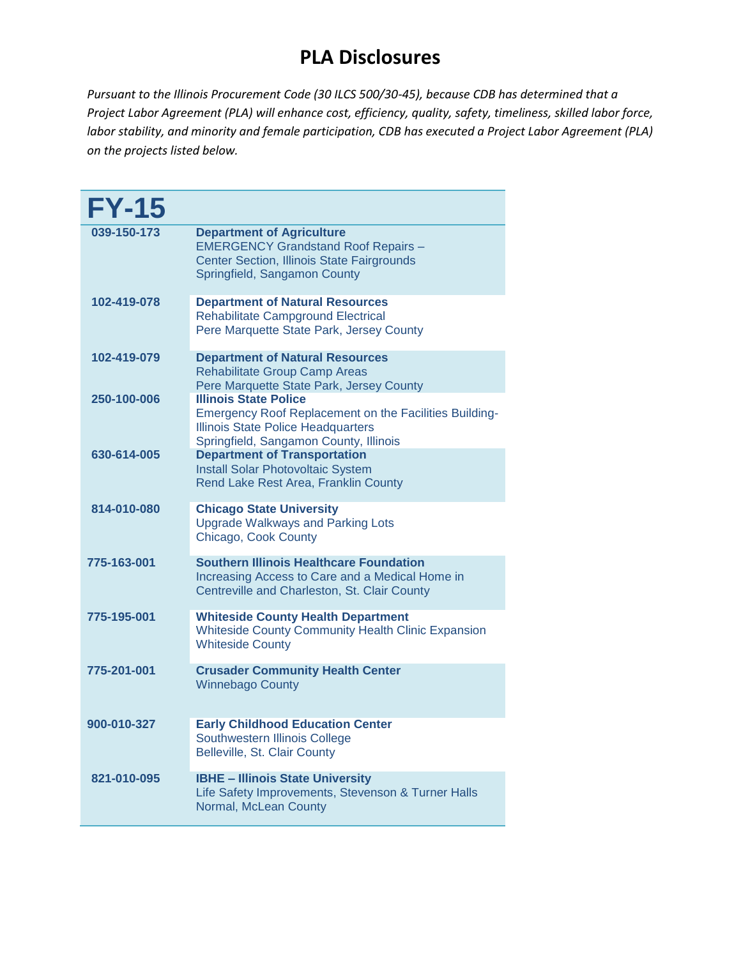| <b>FY-15</b> |                                                                                                                                                                               |
|--------------|-------------------------------------------------------------------------------------------------------------------------------------------------------------------------------|
| 039-150-173  | <b>Department of Agriculture</b><br><b>EMERGENCY Grandstand Roof Repairs -</b><br>Center Section, Illinois State Fairgrounds<br>Springfield, Sangamon County                  |
| 102-419-078  | <b>Department of Natural Resources</b><br>Rehabilitate Campground Electrical<br>Pere Marquette State Park, Jersey County                                                      |
| 102-419-079  | <b>Department of Natural Resources</b><br><b>Rehabilitate Group Camp Areas</b><br>Pere Marquette State Park, Jersey County                                                    |
| 250-100-006  | <b>Illinois State Police</b><br>Emergency Roof Replacement on the Facilities Building-<br><b>Illinois State Police Headquarters</b><br>Springfield, Sangamon County, Illinois |
| 630-614-005  | <b>Department of Transportation</b><br><b>Install Solar Photovoltaic System</b><br>Rend Lake Rest Area, Franklin County                                                       |
| 814-010-080  | <b>Chicago State University</b><br><b>Upgrade Walkways and Parking Lots</b><br>Chicago, Cook County                                                                           |
| 775-163-001  | <b>Southern Illinois Healthcare Foundation</b><br>Increasing Access to Care and a Medical Home in<br>Centreville and Charleston, St. Clair County                             |
| 775-195-001  | <b>Whiteside County Health Department</b><br><b>Whiteside County Community Health Clinic Expansion</b><br><b>Whiteside County</b>                                             |
| 775-201-001  | <b>Crusader Community Health Center</b><br><b>Winnebago County</b>                                                                                                            |
| 900-010-327  | <b>Early Childhood Education Center</b><br>Southwestern Illinois College<br>Belleville, St. Clair County                                                                      |
| 821-010-095  | <b>IBHE - Illinois State University</b><br>Life Safety Improvements, Stevenson & Turner Halls<br>Normal, McLean County                                                        |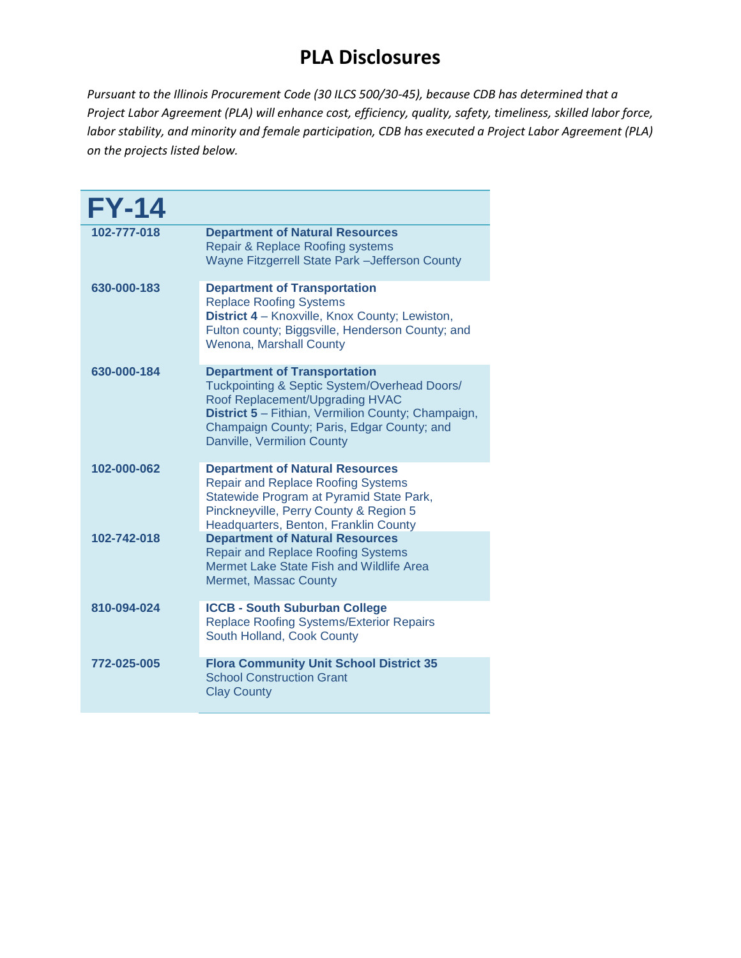| <b>FY-14</b> |                                                                                                                                                                                                                                                          |
|--------------|----------------------------------------------------------------------------------------------------------------------------------------------------------------------------------------------------------------------------------------------------------|
| 102-777-018  | <b>Department of Natural Resources</b><br>Repair & Replace Roofing systems<br>Wayne Fitzgerrell State Park - Jefferson County                                                                                                                            |
| 630-000-183  | <b>Department of Transportation</b><br><b>Replace Roofing Systems</b><br>District 4 - Knoxville, Knox County; Lewiston,<br>Fulton county; Biggsville, Henderson County; and<br><b>Wenona, Marshall County</b>                                            |
| 630-000-184  | <b>Department of Transportation</b><br>Tuckpointing & Septic System/Overhead Doors/<br>Roof Replacement/Upgrading HVAC<br>District 5 - Fithian, Vermilion County; Champaign,<br>Champaign County; Paris, Edgar County; and<br>Danville, Vermilion County |
| 102-000-062  | <b>Department of Natural Resources</b><br><b>Repair and Replace Roofing Systems</b><br>Statewide Program at Pyramid State Park,<br>Pinckneyville, Perry County & Region 5<br>Headquarters, Benton, Franklin County                                       |
| 102-742-018  | <b>Department of Natural Resources</b><br><b>Repair and Replace Roofing Systems</b><br>Mermet Lake State Fish and Wildlife Area<br>Mermet, Massac County                                                                                                 |
| 810-094-024  | <b>ICCB - South Suburban College</b><br>Replace Roofing Systems/Exterior Repairs<br>South Holland, Cook County                                                                                                                                           |
| 772-025-005  | <b>Flora Community Unit School District 35</b><br><b>School Construction Grant</b><br><b>Clay County</b>                                                                                                                                                 |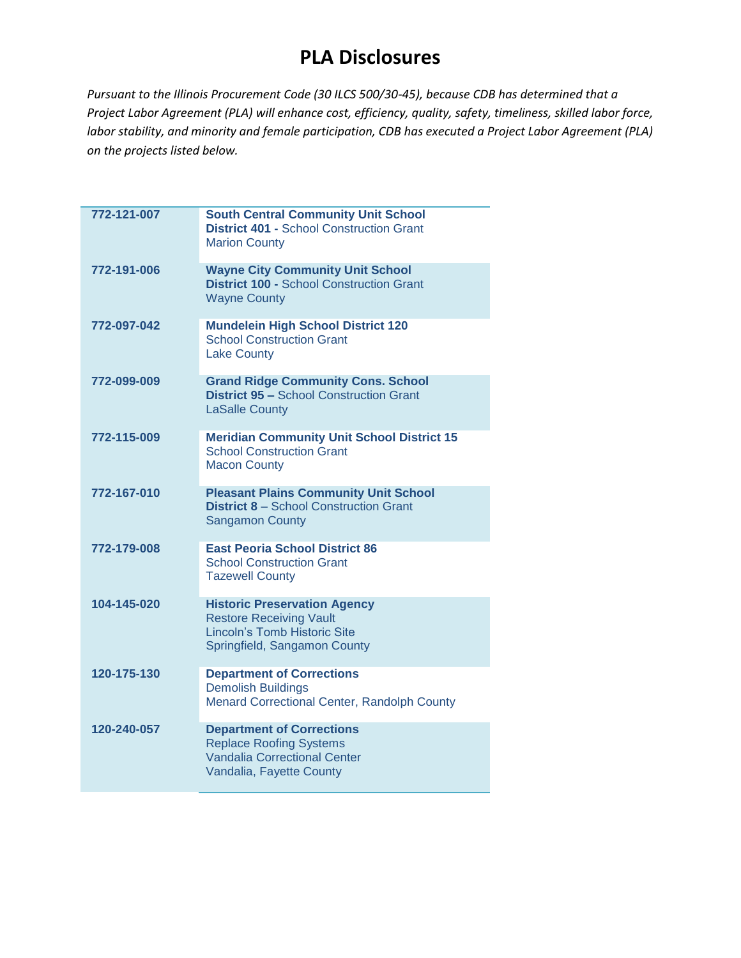| 772-121-007 | <b>South Central Community Unit School</b><br><b>District 401 - School Construction Grant</b><br><b>Marion County</b>                        |
|-------------|----------------------------------------------------------------------------------------------------------------------------------------------|
| 772-191-006 | <b>Wayne City Community Unit School</b><br><b>District 100 - School Construction Grant</b><br><b>Wayne County</b>                            |
| 772-097-042 | <b>Mundelein High School District 120</b><br><b>School Construction Grant</b><br><b>Lake County</b>                                          |
| 772-099-009 | <b>Grand Ridge Community Cons. School</b><br><b>District 95 - School Construction Grant</b><br><b>LaSalle County</b>                         |
| 772-115-009 | <b>Meridian Community Unit School District 15</b><br><b>School Construction Grant</b><br><b>Macon County</b>                                 |
| 772-167-010 | <b>Pleasant Plains Community Unit School</b><br><b>District 8 - School Construction Grant</b><br><b>Sangamon County</b>                      |
| 772-179-008 | <b>East Peoria School District 86</b><br><b>School Construction Grant</b><br><b>Tazewell County</b>                                          |
| 104-145-020 | <b>Historic Preservation Agency</b><br><b>Restore Receiving Vault</b><br><b>Lincoln's Tomb Historic Site</b><br>Springfield, Sangamon County |
| 120-175-130 | <b>Department of Corrections</b><br><b>Demolish Buildings</b><br>Menard Correctional Center, Randolph County                                 |
| 120-240-057 | <b>Department of Corrections</b><br><b>Replace Roofing Systems</b><br><b>Vandalia Correctional Center</b><br>Vandalia, Fayette County        |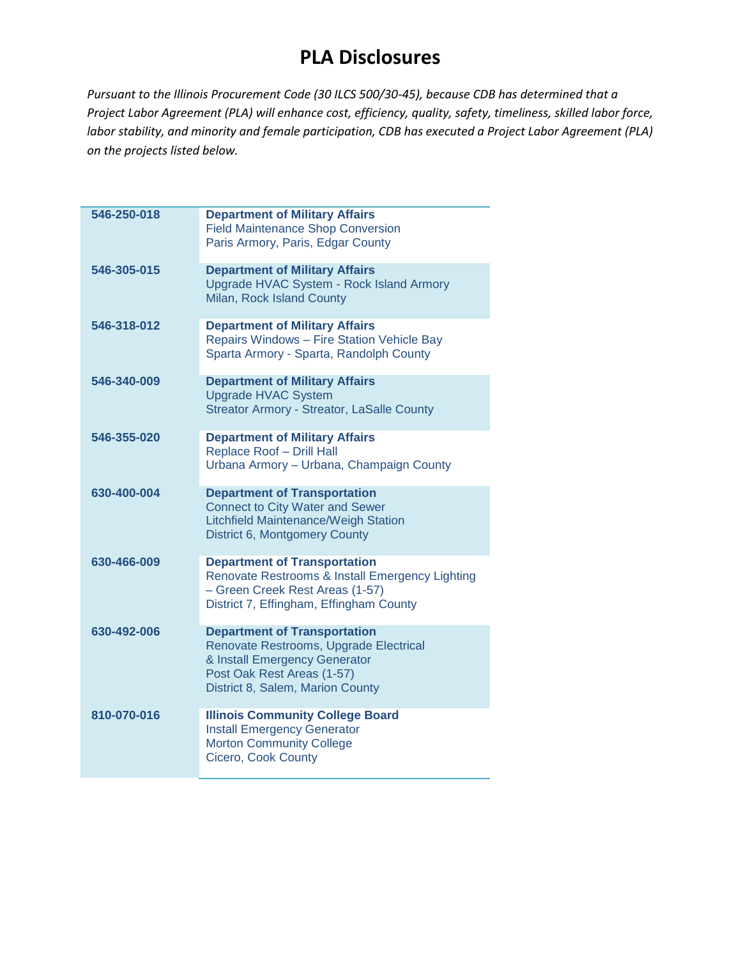| 546-250-018 | <b>Department of Military Affairs</b><br><b>Field Maintenance Shop Conversion</b><br>Paris Armory, Paris, Edgar County                                                           |
|-------------|----------------------------------------------------------------------------------------------------------------------------------------------------------------------------------|
| 546-305-015 | <b>Department of Military Affairs</b><br>Upgrade HVAC System - Rock Island Armory<br>Milan, Rock Island County                                                                   |
| 546-318-012 | <b>Department of Military Affairs</b><br>Repairs Windows - Fire Station Vehicle Bay<br>Sparta Armory - Sparta, Randolph County                                                   |
| 546-340-009 | <b>Department of Military Affairs</b><br><b>Upgrade HVAC System</b><br><b>Streator Armory - Streator, LaSalle County</b>                                                         |
| 546-355-020 | <b>Department of Military Affairs</b><br>Replace Roof - Drill Hall<br>Urbana Armory - Urbana, Champaign County                                                                   |
| 630-400-004 | <b>Department of Transportation</b><br><b>Connect to City Water and Sewer</b><br>Litchfield Maintenance/Weigh Station<br><b>District 6, Montgomery County</b>                    |
| 630-466-009 | <b>Department of Transportation</b><br>Renovate Restrooms & Install Emergency Lighting<br>- Green Creek Rest Areas (1-57)<br>District 7, Effingham, Effingham County             |
| 630-492-006 | <b>Department of Transportation</b><br>Renovate Restrooms, Upgrade Electrical<br>& Install Emergency Generator<br>Post Oak Rest Areas (1-57)<br>District 8, Salem, Marion County |
| 810-070-016 | <b>Illinois Community College Board</b><br><b>Install Emergency Generator</b><br><b>Morton Community College</b><br>Cicero, Cook County                                          |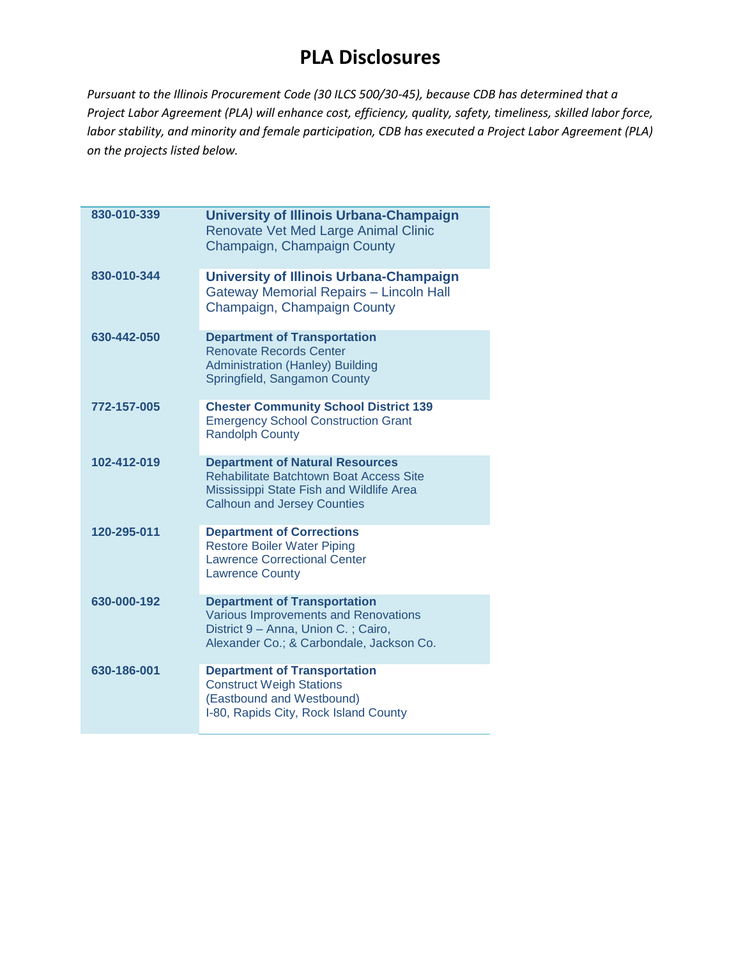| 830-010-339 | <b>University of Illinois Urbana-Champaign</b><br>Renovate Vet Med Large Animal Clinic<br>Champaign, Champaign County                                                      |
|-------------|----------------------------------------------------------------------------------------------------------------------------------------------------------------------------|
| 830-010-344 | <b>University of Illinois Urbana-Champaign</b><br><b>Gateway Memorial Repairs - Lincoln Hall</b><br>Champaign, Champaign County                                            |
| 630-442-050 | <b>Department of Transportation</b><br><b>Renovate Records Center</b><br><b>Administration (Hanley) Building</b><br>Springfield, Sangamon County                           |
| 772-157-005 | <b>Chester Community School District 139</b><br><b>Emergency School Construction Grant</b><br><b>Randolph County</b>                                                       |
| 102-412-019 | <b>Department of Natural Resources</b><br><b>Rehabilitate Batchtown Boat Access Site</b><br>Mississippi State Fish and Wildlife Area<br><b>Calhoun and Jersey Counties</b> |
| 120-295-011 | <b>Department of Corrections</b><br><b>Restore Boiler Water Piping</b><br><b>Lawrence Correctional Center</b><br><b>Lawrence County</b>                                    |
| 630-000-192 | <b>Department of Transportation</b><br>Various Improvements and Renovations<br>District 9 - Anna, Union C.; Cairo,<br>Alexander Co.; & Carbondale, Jackson Co.             |
| 630-186-001 | <b>Department of Transportation</b><br><b>Construct Weigh Stations</b><br>(Eastbound and Westbound)<br>I-80, Rapids City, Rock Island County                               |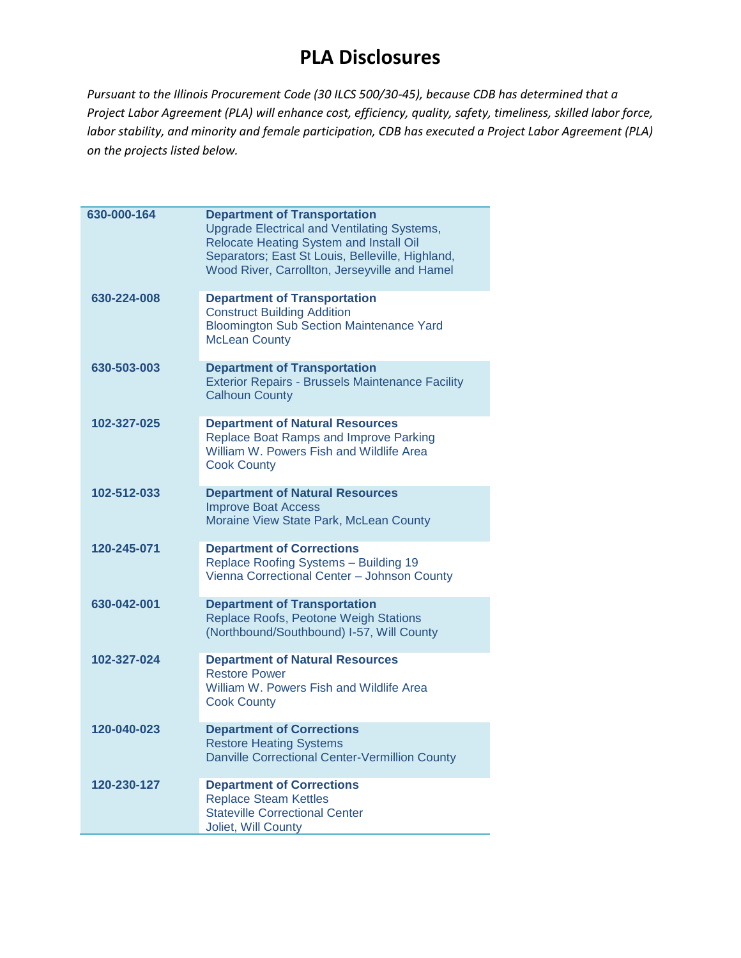| 630-000-164 | <b>Department of Transportation</b><br><b>Upgrade Electrical and Ventilating Systems,</b><br>Relocate Heating System and Install Oil<br>Separators; East St Louis, Belleville, Highland,<br>Wood River, Carrollton, Jerseyville and Hamel |
|-------------|-------------------------------------------------------------------------------------------------------------------------------------------------------------------------------------------------------------------------------------------|
| 630-224-008 | <b>Department of Transportation</b><br><b>Construct Building Addition</b><br><b>Bloomington Sub Section Maintenance Yard</b><br><b>McLean County</b>                                                                                      |
| 630-503-003 | <b>Department of Transportation</b><br><b>Exterior Repairs - Brussels Maintenance Facility</b><br><b>Calhoun County</b>                                                                                                                   |
| 102-327-025 | <b>Department of Natural Resources</b><br>Replace Boat Ramps and Improve Parking<br>William W. Powers Fish and Wildlife Area<br><b>Cook County</b>                                                                                        |
| 102-512-033 | <b>Department of Natural Resources</b><br><b>Improve Boat Access</b><br>Moraine View State Park, McLean County                                                                                                                            |
| 120-245-071 | <b>Department of Corrections</b><br>Replace Roofing Systems - Building 19<br>Vienna Correctional Center - Johnson County                                                                                                                  |
| 630-042-001 | <b>Department of Transportation</b><br>Replace Roofs, Peotone Weigh Stations<br>(Northbound/Southbound) I-57, Will County                                                                                                                 |
| 102-327-024 | <b>Department of Natural Resources</b><br><b>Restore Power</b><br>William W. Powers Fish and Wildlife Area<br><b>Cook County</b>                                                                                                          |
| 120-040-023 | <b>Department of Corrections</b><br><b>Restore Heating Systems</b><br><b>Danville Correctional Center-Vermillion County</b>                                                                                                               |
| 120-230-127 | <b>Department of Corrections</b><br><b>Replace Steam Kettles</b><br><b>Stateville Correctional Center</b><br>Joliet, Will County                                                                                                          |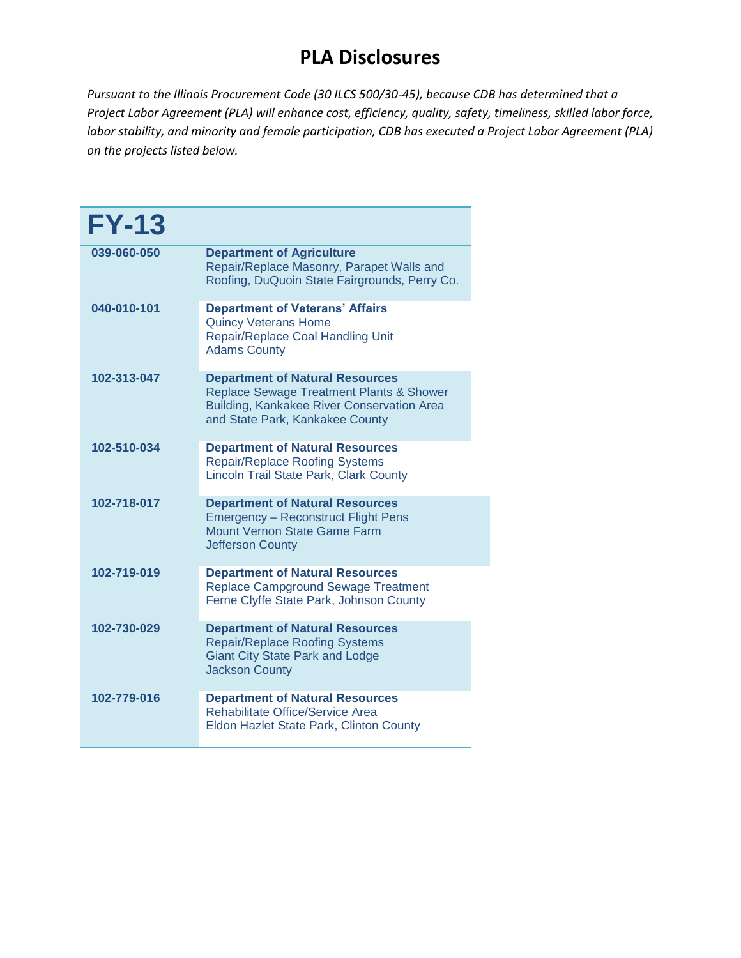| <b>FY-13</b> |                                                                                                                                                                                |
|--------------|--------------------------------------------------------------------------------------------------------------------------------------------------------------------------------|
| 039-060-050  | <b>Department of Agriculture</b><br>Repair/Replace Masonry, Parapet Walls and<br>Roofing, DuQuoin State Fairgrounds, Perry Co.                                                 |
| 040-010-101  | <b>Department of Veterans' Affairs</b><br><b>Quincy Veterans Home</b><br>Repair/Replace Coal Handling Unit<br><b>Adams County</b>                                              |
| 102-313-047  | <b>Department of Natural Resources</b><br><b>Replace Sewage Treatment Plants &amp; Shower</b><br>Building, Kankakee River Conservation Area<br>and State Park, Kankakee County |
| 102-510-034  | <b>Department of Natural Resources</b><br><b>Repair/Replace Roofing Systems</b><br>Lincoln Trail State Park, Clark County                                                      |
| 102-718-017  | <b>Department of Natural Resources</b><br><b>Emergency - Reconstruct Flight Pens</b><br><b>Mount Vernon State Game Farm</b><br><b>Jefferson County</b>                         |
| 102-719-019  | <b>Department of Natural Resources</b><br><b>Replace Campground Sewage Treatment</b><br>Ferne Clyffe State Park, Johnson County                                                |
| 102-730-029  | <b>Department of Natural Resources</b><br><b>Repair/Replace Roofing Systems</b><br><b>Giant City State Park and Lodge</b><br><b>Jackson County</b>                             |
| 102-779-016  | <b>Department of Natural Resources</b><br>Rehabilitate Office/Service Area<br>Eldon Hazlet State Park, Clinton County                                                          |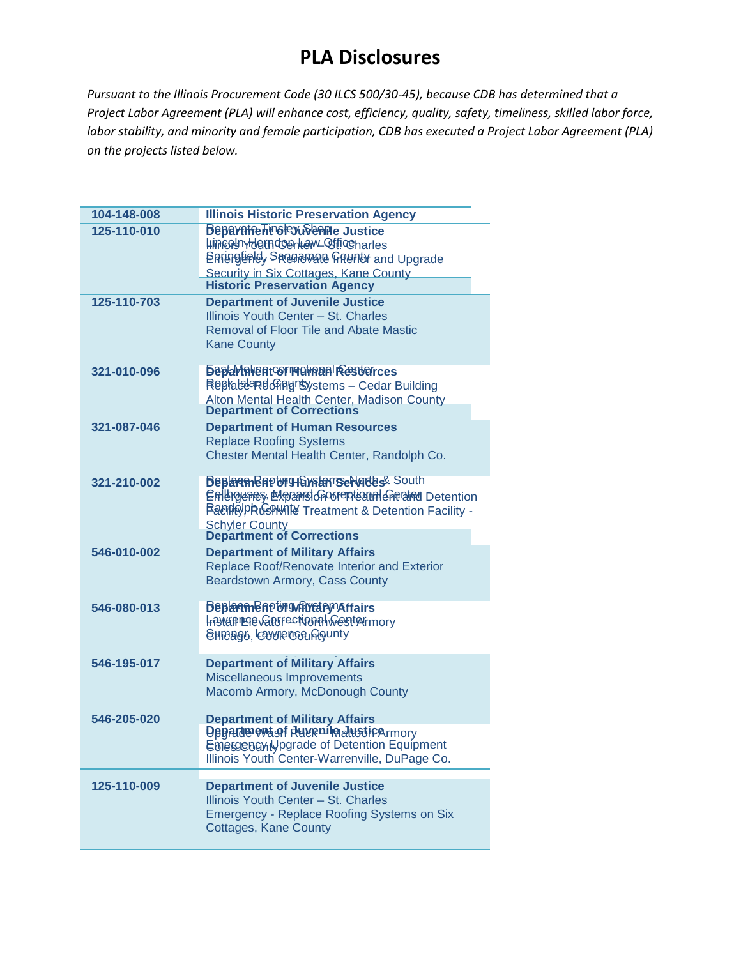| 104-148-008 | <b>Illinois Historic Preservation Agency</b>                                                                                                                                                                         |
|-------------|----------------------------------------------------------------------------------------------------------------------------------------------------------------------------------------------------------------------|
| 125-110-010 | <b>Beparate hindrey ween descriptions</b><br>luincounderndontem_officeharles<br><b>Epringlialdy Spregational Graunty and Upgrade</b><br>Security in Six Cottages, Kane County<br><b>Historic Preservation Agency</b> |
| 125-110-703 | <b>Department of Juvenile Justice</b><br>Illinois Youth Center - St. Charles<br><b>Removal of Floor Tile and Abate Mastic</b><br><b>Kane County</b>                                                                  |
| 321-010-096 | <b><i><u><b>BaptaMnientor reginant Resterices</b></u></i></b><br>Replabe <i>Replane</i> Graystems - Cedar Building<br>Alton Mental Health Center, Madison County<br>Department of Corrections                        |
| 321-087-046 | <b>Department of Human Resources</b><br><b>Replace Roofing Systems</b><br>Chester Mental Health Center, Randolph Co.                                                                                                 |
| 321-210-002 | <b>Beplaren Bapting HamseNates&amp; South</b><br>Enlinguenes, Expanision outer trained preased Detention<br>Randelpkushwille Treatment & Detention Facility -<br><b>Schyler County<br/>Department of Corrections</b> |
| 546-010-002 | <b>Department of Military Affairs</b><br>Replace Roof/Renovate Interior and Exterior<br>Beardstown Armory, Cass County                                                                                               |
| 546-080-013 | <b>Beplaren Baptin while the Affairs</b><br><b>Install EDG CONTECT WORK WEST AIR MOTHL</b><br><b>EHIBAG6, COVULF TOGLAQUITY</b>                                                                                      |
| 546-195-017 | <b>Department of Military Affairs</b><br>Miscellaneous Improvements<br>Macomb Armory, McDonough County                                                                                                               |
| 546-205-020 | <b>Department of Military Affairs</b><br>Denation evisof Ruse pulled in the Union Contract Common<br>Emessen and perade of Detention Equipment<br>Illinois Youth Center-Warrenville, DuPage Co.                      |
| 125-110-009 | <b>Department of Juvenile Justice</b><br>Illinois Youth Center - St. Charles<br><b>Emergency - Replace Roofing Systems on Six</b><br>Cottages, Kane County                                                           |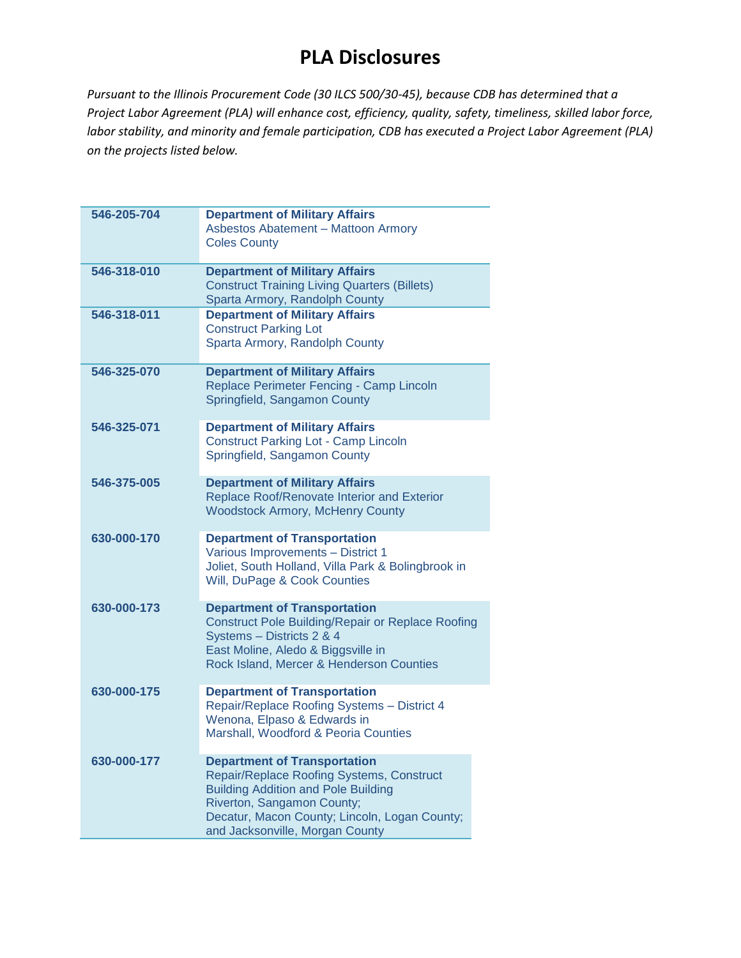| 546-205-704 | <b>Department of Military Affairs</b><br><b>Asbestos Abatement - Mattoon Armory</b><br><b>Coles County</b>                                                                                                                                       |
|-------------|--------------------------------------------------------------------------------------------------------------------------------------------------------------------------------------------------------------------------------------------------|
| 546-318-010 | <b>Department of Military Affairs</b><br><b>Construct Training Living Quarters (Billets)</b><br>Sparta Armory, Randolph County                                                                                                                   |
| 546-318-011 | <b>Department of Military Affairs</b><br><b>Construct Parking Lot</b><br>Sparta Armory, Randolph County                                                                                                                                          |
| 546-325-070 | <b>Department of Military Affairs</b><br>Replace Perimeter Fencing - Camp Lincoln<br>Springfield, Sangamon County                                                                                                                                |
| 546-325-071 | <b>Department of Military Affairs</b><br><b>Construct Parking Lot - Camp Lincoln</b><br>Springfield, Sangamon County                                                                                                                             |
| 546-375-005 | <b>Department of Military Affairs</b><br>Replace Roof/Renovate Interior and Exterior<br><b>Woodstock Armory, McHenry County</b>                                                                                                                  |
| 630-000-170 | <b>Department of Transportation</b><br>Various Improvements - District 1<br>Joliet, South Holland, Villa Park & Bolingbrook in<br>Will, DuPage & Cook Counties                                                                                   |
| 630-000-173 | <b>Department of Transportation</b><br><b>Construct Pole Building/Repair or Replace Roofing</b><br>Systems - Districts 2 & 4<br>East Moline, Aledo & Biggsville in<br>Rock Island, Mercer & Henderson Counties                                   |
| 630-000-175 | <b>Department of Transportation</b><br>Repair/Replace Roofing Systems - District 4<br>Wenona, Elpaso & Edwards in<br>Marshall, Woodford & Peoria Counties                                                                                        |
| 630-000-177 | <b>Department of Transportation</b><br>Repair/Replace Roofing Systems, Construct<br><b>Building Addition and Pole Building</b><br>Riverton, Sangamon County;<br>Decatur, Macon County; Lincoln, Logan County;<br>and Jacksonville, Morgan County |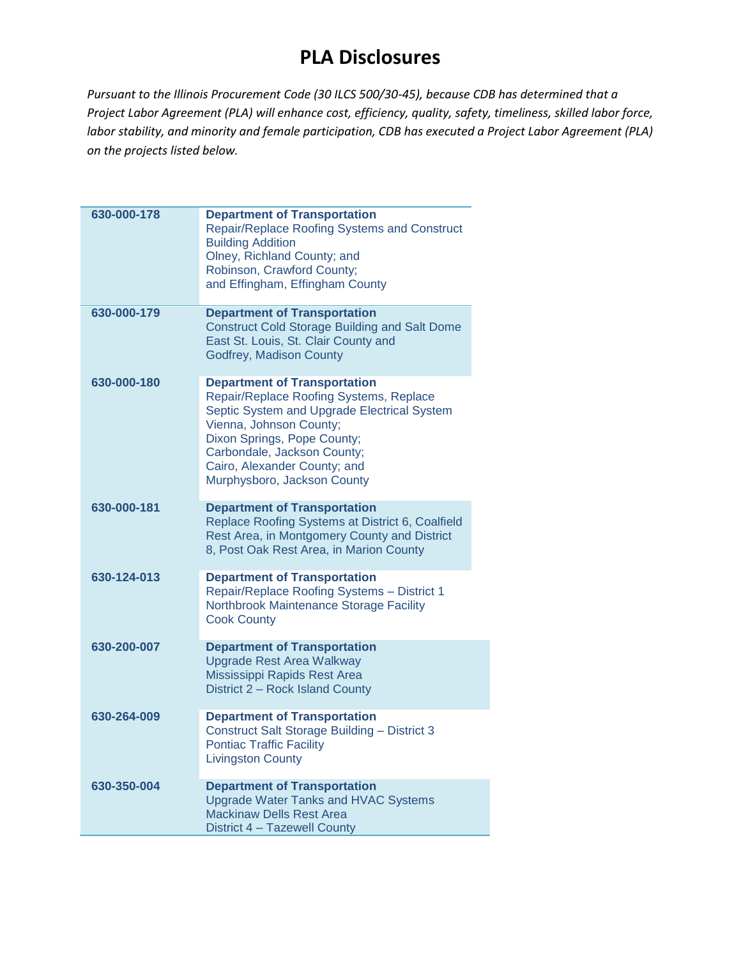| 630-000-178 | <b>Department of Transportation</b><br>Repair/Replace Roofing Systems and Construct<br><b>Building Addition</b><br>Olney, Richland County; and<br>Robinson, Crawford County;<br>and Effingham, Effingham County                                                                       |
|-------------|---------------------------------------------------------------------------------------------------------------------------------------------------------------------------------------------------------------------------------------------------------------------------------------|
| 630-000-179 | <b>Department of Transportation</b><br><b>Construct Cold Storage Building and Salt Dome</b><br>East St. Louis, St. Clair County and<br>Godfrey, Madison County                                                                                                                        |
| 630-000-180 | <b>Department of Transportation</b><br>Repair/Replace Roofing Systems, Replace<br>Septic System and Upgrade Electrical System<br>Vienna, Johnson County;<br>Dixon Springs, Pope County;<br>Carbondale, Jackson County;<br>Cairo, Alexander County; and<br>Murphysboro, Jackson County |
| 630-000-181 | <b>Department of Transportation</b><br>Replace Roofing Systems at District 6, Coalfield<br>Rest Area, in Montgomery County and District<br>8, Post Oak Rest Area, in Marion County                                                                                                    |
| 630-124-013 | <b>Department of Transportation</b><br>Repair/Replace Roofing Systems - District 1<br>Northbrook Maintenance Storage Facility<br><b>Cook County</b>                                                                                                                                   |
| 630-200-007 | <b>Department of Transportation</b><br><b>Upgrade Rest Area Walkway</b><br>Mississippi Rapids Rest Area<br>District 2 - Rock Island County                                                                                                                                            |
| 630-264-009 | <b>Department of Transportation</b><br><b>Construct Salt Storage Building - District 3</b><br><b>Pontiac Traffic Facility</b><br><b>Livingston County</b>                                                                                                                             |
| 630-350-004 | <b>Department of Transportation</b><br><b>Upgrade Water Tanks and HVAC Systems</b><br><b>Mackinaw Dells Rest Area</b><br>District 4 - Tazewell County                                                                                                                                 |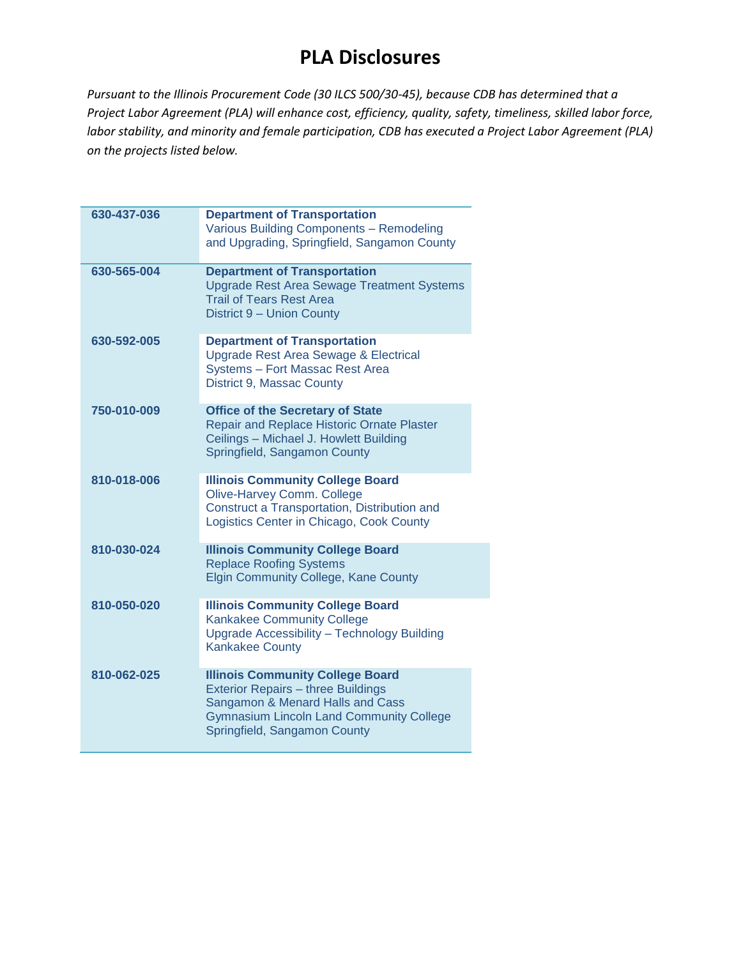| 630-437-036 | <b>Department of Transportation</b><br>Various Building Components - Remodeling<br>and Upgrading, Springfield, Sangamon County                                                                              |
|-------------|-------------------------------------------------------------------------------------------------------------------------------------------------------------------------------------------------------------|
| 630-565-004 | <b>Department of Transportation</b><br><b>Upgrade Rest Area Sewage Treatment Systems</b><br><b>Trail of Tears Rest Area</b><br>District 9 - Union County                                                    |
| 630-592-005 | <b>Department of Transportation</b><br>Upgrade Rest Area Sewage & Electrical<br>Systems - Fort Massac Rest Area<br>District 9, Massac County                                                                |
| 750-010-009 | <b>Office of the Secretary of State</b><br>Repair and Replace Historic Ornate Plaster<br>Ceilings - Michael J. Howlett Building<br>Springfield, Sangamon County                                             |
| 810-018-006 | <b>Illinois Community College Board</b><br>Olive-Harvey Comm. College<br>Construct a Transportation, Distribution and<br>Logistics Center in Chicago, Cook County                                           |
| 810-030-024 | <b>Illinois Community College Board</b><br><b>Replace Roofing Systems</b><br><b>Elgin Community College, Kane County</b>                                                                                    |
| 810-050-020 | <b>Illinois Community College Board</b><br><b>Kankakee Community College</b><br>Upgrade Accessibility - Technology Building<br><b>Kankakee County</b>                                                       |
| 810-062-025 | <b>Illinois Community College Board</b><br><b>Exterior Repairs - three Buildings</b><br>Sangamon & Menard Halls and Cass<br><b>Gymnasium Lincoln Land Community College</b><br>Springfield, Sangamon County |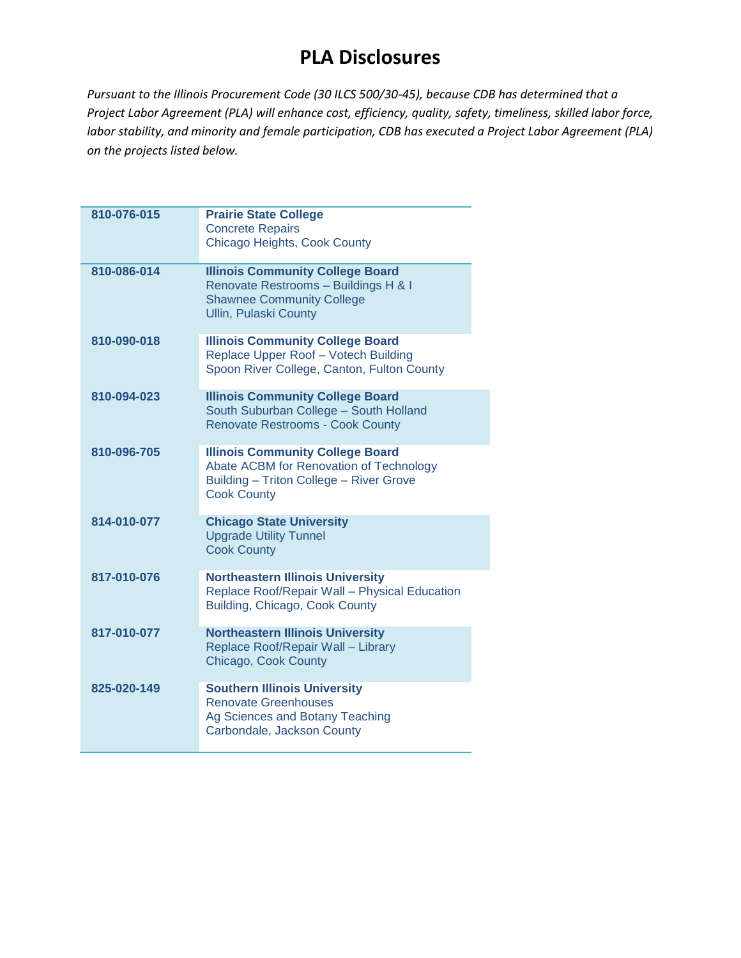| 810-076-015 | <b>Prairie State College</b><br><b>Concrete Repairs</b>                                                                                             |
|-------------|-----------------------------------------------------------------------------------------------------------------------------------------------------|
|             | Chicago Heights, Cook County                                                                                                                        |
| 810-086-014 | <b>Illinois Community College Board</b><br>Renovate Restrooms - Buildings H & I<br><b>Shawnee Community College</b><br><b>Ullin, Pulaski County</b> |
| 810-090-018 | <b>Illinois Community College Board</b><br>Replace Upper Roof - Votech Building<br>Spoon River College, Canton, Fulton County                       |
| 810-094-023 | <b>Illinois Community College Board</b><br>South Suburban College - South Holland<br><b>Renovate Restrooms - Cook County</b>                        |
| 810-096-705 | <b>Illinois Community College Board</b><br>Abate ACBM for Renovation of Technology<br>Building - Triton College - River Grove<br><b>Cook County</b> |
| 814-010-077 | <b>Chicago State University</b><br><b>Upgrade Utility Tunnel</b><br><b>Cook County</b>                                                              |
| 817-010-076 | <b>Northeastern Illinois University</b><br>Replace Roof/Repair Wall - Physical Education<br>Building, Chicago, Cook County                          |
| 817-010-077 | <b>Northeastern Illinois University</b><br>Replace Roof/Repair Wall - Library<br>Chicago, Cook County                                               |
| 825-020-149 | <b>Southern Illinois University</b><br><b>Renovate Greenhouses</b><br>Ag Sciences and Botany Teaching<br>Carbondale, Jackson County                 |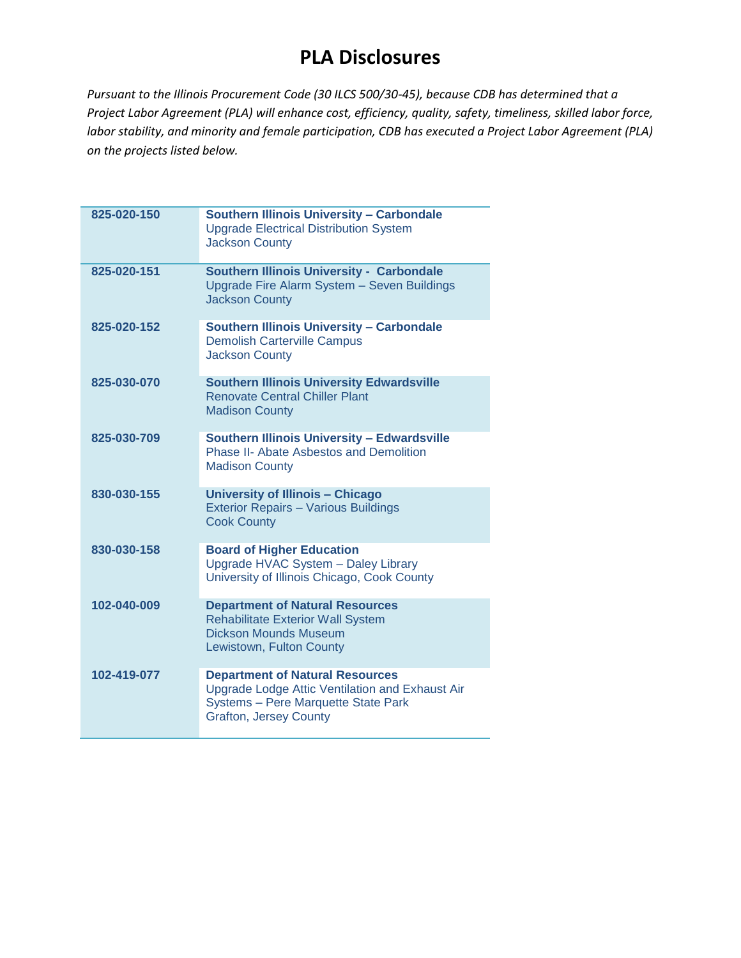| 825-020-150 | <b>Southern Illinois University - Carbondale</b><br><b>Upgrade Electrical Distribution System</b><br><b>Jackson County</b>                                        |
|-------------|-------------------------------------------------------------------------------------------------------------------------------------------------------------------|
| 825-020-151 | <b>Southern Illinois University - Carbondale</b><br>Upgrade Fire Alarm System - Seven Buildings<br><b>Jackson County</b>                                          |
| 825-020-152 | <b>Southern Illinois University - Carbondale</b><br><b>Demolish Carterville Campus</b><br><b>Jackson County</b>                                                   |
| 825-030-070 | <b>Southern Illinois University Edwardsville</b><br><b>Renovate Central Chiller Plant</b><br><b>Madison County</b>                                                |
| 825-030-709 | <b>Southern Illinois University - Edwardsville</b><br><b>Phase II- Abate Asbestos and Demolition</b><br><b>Madison County</b>                                     |
| 830-030-155 | University of Illinois - Chicago<br><b>Exterior Repairs - Various Buildings</b><br><b>Cook County</b>                                                             |
| 830-030-158 | <b>Board of Higher Education</b><br>Upgrade HVAC System - Daley Library<br>University of Illinois Chicago, Cook County                                            |
| 102-040-009 | <b>Department of Natural Resources</b><br><b>Rehabilitate Exterior Wall System</b><br><b>Dickson Mounds Museum</b><br>Lewistown, Fulton County                    |
| 102-419-077 | <b>Department of Natural Resources</b><br>Upgrade Lodge Attic Ventilation and Exhaust Air<br>Systems - Pere Marquette State Park<br><b>Grafton, Jersey County</b> |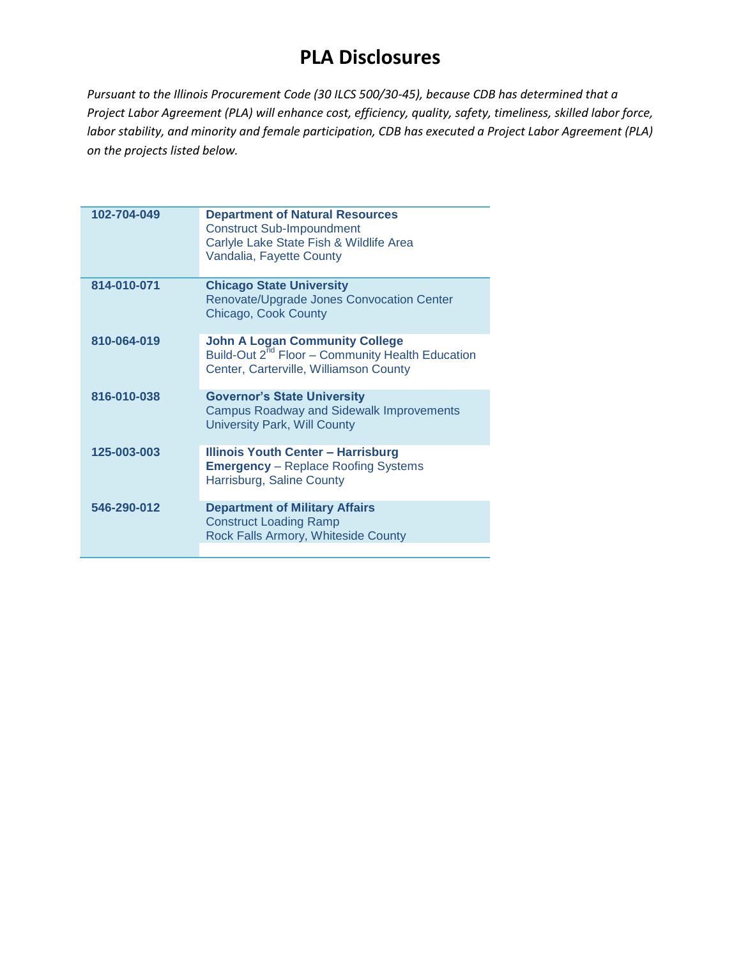| 102-704-049 | <b>Department of Natural Resources</b><br><b>Construct Sub-Impoundment</b><br>Carlyle Lake State Fish & Wildlife Area<br>Vandalia, Fayette County |
|-------------|---------------------------------------------------------------------------------------------------------------------------------------------------|
| 814-010-071 | <b>Chicago State University</b><br>Renovate/Upgrade Jones Convocation Center<br>Chicago, Cook County                                              |
| 810-064-019 | <b>John A Logan Community College</b><br>Build-Out 2 <sup>nd</sup> Floor - Community Health Education<br>Center, Carterville, Williamson County   |
| 816-010-038 | <b>Governor's State University</b><br><b>Campus Roadway and Sidewalk Improvements</b><br><b>University Park, Will County</b>                      |
| 125-003-003 | <b>Illinois Youth Center - Harrisburg</b><br><b>Emergency</b> – Replace Roofing Systems<br>Harrisburg, Saline County                              |
| 546-290-012 | <b>Department of Military Affairs</b><br><b>Construct Loading Ramp</b><br>Rock Falls Armory, Whiteside County                                     |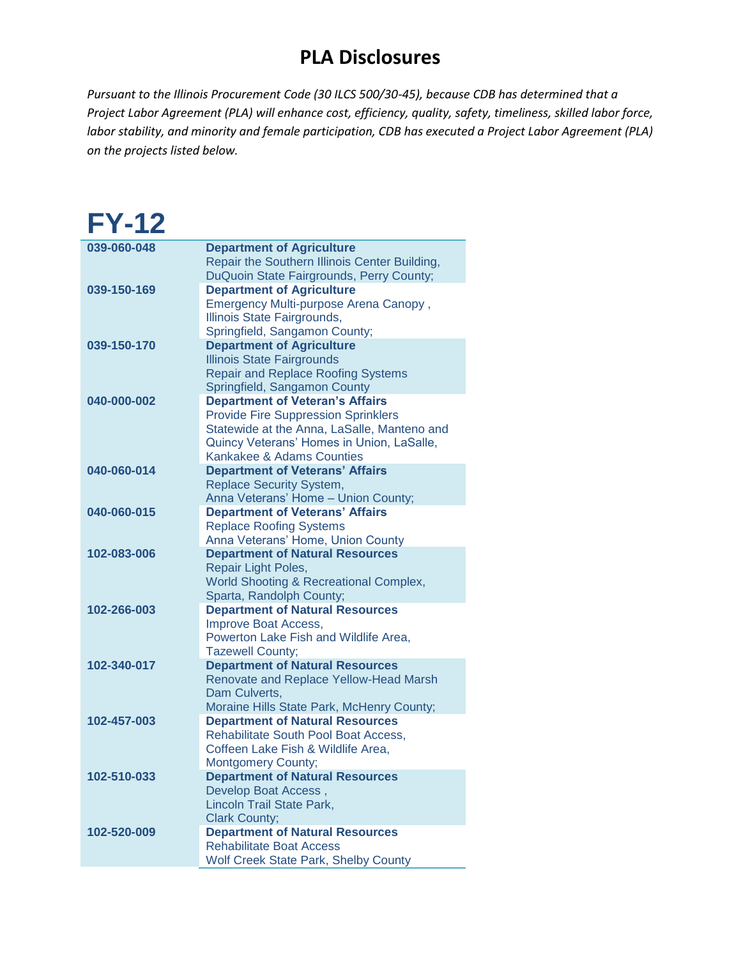*Pursuant to the Illinois Procurement Code (30 ILCS 500/30-45), because CDB has determined that a Project Labor Agreement (PLA) will enhance cost, efficiency, quality, safety, timeliness, skilled labor force, labor stability, and minority and female participation, CDB has executed a Project Labor Agreement (PLA) on the projects listed below.*

#### **FY-12 039-060-048 Department of Agriculture** Repair the Southern Illinois Center Building, DuQuoin State Fairgrounds, Perry County; **039-150-169 Department of Agriculture** Emergency Multi-purpose Arena Canopy , Illinois State Fairgrounds, Springfield, Sangamon County; **039-150-170 Department of Agriculture** Illinois State Fairgrounds Repair and Replace Roofing Systems Springfield, Sangamon County **040-000-002 Department of Veteran's Affairs** Provide Fire Suppression Sprinklers Statewide at the Anna, LaSalle, Manteno and Quincy Veterans' Homes in Union, LaSalle, Kankakee & Adams Counties **040-060-014 Department of Veterans' Affairs** Replace Security System, Anna Veterans' Home – Union County; **040-060-015 Department of Veterans' Affairs** Replace Roofing Systems Anna Veterans' Home, Union County **102-083-006 Department of Natural Resources** Repair Light Poles, World Shooting & Recreational Complex, Sparta, Randolph County; **102-266-003 Department of Natural Resources** Improve Boat Access, Powerton Lake Fish and Wildlife Area, Tazewell County; **102-340-017 Department of Natural Resources** Renovate and Replace Yellow-Head Marsh Dam Culverts, Moraine Hills State Park, McHenry County; **102-457-003 Department of Natural Resources** Rehabilitate South Pool Boat Access, Coffeen Lake Fish & Wildlife Area, Montgomery County; **102-510-033 Department of Natural Resources** Develop Boat Access , Lincoln Trail State Park, Clark County; **102-520-009 Department of Natural Resources** Rehabilitate Boat Access Wolf Creek State Park, Shelby County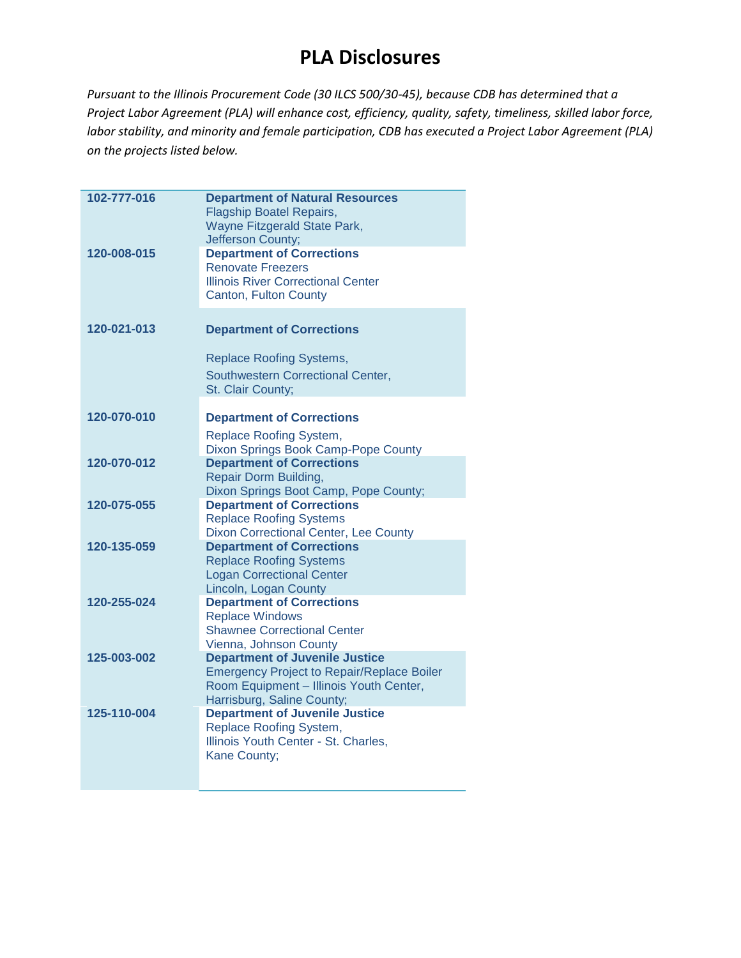| 102-777-016<br>120-008-015 | <b>Department of Natural Resources</b><br><b>Flagship Boatel Repairs,</b><br>Wayne Fitzgerald State Park,<br>Jefferson County;<br><b>Department of Corrections</b>  |
|----------------------------|---------------------------------------------------------------------------------------------------------------------------------------------------------------------|
|                            | <b>Renovate Freezers</b><br><b>Illinois River Correctional Center</b><br>Canton, Fulton County                                                                      |
| 120-021-013                | <b>Department of Corrections</b><br><b>Replace Roofing Systems,</b><br>Southwestern Correctional Center,<br>St. Clair County;                                       |
| 120-070-010                | <b>Department of Corrections</b><br>Replace Roofing System,<br>Dixon Springs Book Camp-Pope County                                                                  |
| 120-070-012                | <b>Department of Corrections</b><br>Repair Dorm Building,<br>Dixon Springs Boot Camp, Pope County;                                                                  |
| 120-075-055                | <b>Department of Corrections</b><br><b>Replace Roofing Systems</b><br>Dixon Correctional Center, Lee County                                                         |
| 120-135-059                | <b>Department of Corrections</b><br><b>Replace Roofing Systems</b><br><b>Logan Correctional Center</b><br>Lincoln, Logan County                                     |
| 120-255-024                | <b>Department of Corrections</b><br><b>Replace Windows</b><br><b>Shawnee Correctional Center</b><br>Vienna, Johnson County                                          |
| 125-003-002                | <b>Department of Juvenile Justice</b><br><b>Emergency Project to Repair/Replace Boiler</b><br>Room Equipment - Illinois Youth Center,<br>Harrisburg, Saline County; |
| 125-110-004                | <b>Department of Juvenile Justice</b><br>Replace Roofing System,<br>Illinois Youth Center - St. Charles,<br>Kane County;                                            |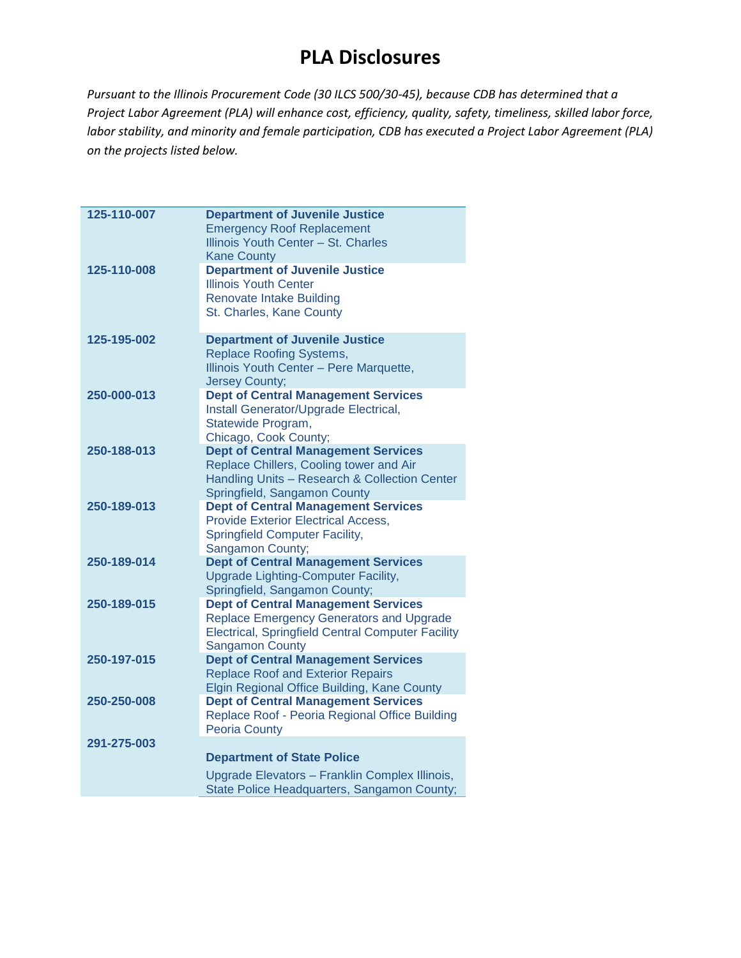| 125-110-007 | <b>Department of Juvenile Justice</b><br><b>Emergency Roof Replacement</b><br>Illinois Youth Center - St. Charles<br><b>Kane County</b>                                      |
|-------------|------------------------------------------------------------------------------------------------------------------------------------------------------------------------------|
| 125-110-008 | <b>Department of Juvenile Justice</b><br><b>Illinois Youth Center</b><br><b>Renovate Intake Building</b><br>St. Charles, Kane County                                         |
| 125-195-002 | <b>Department of Juvenile Justice</b><br><b>Replace Roofing Systems,</b><br>Illinois Youth Center - Pere Marquette,<br><b>Jersey County;</b>                                 |
| 250-000-013 | <b>Dept of Central Management Services</b><br>Install Generator/Upgrade Electrical,<br>Statewide Program,<br>Chicago, Cook County;                                           |
| 250-188-013 | <b>Dept of Central Management Services</b><br>Replace Chillers, Cooling tower and Air<br>Handling Units - Research & Collection Center<br>Springfield, Sangamon County       |
| 250-189-013 | <b>Dept of Central Management Services</b><br><b>Provide Exterior Electrical Access,</b><br><b>Springfield Computer Facility,</b><br>Sangamon County;                        |
| 250-189-014 | <b>Dept of Central Management Services</b><br>Upgrade Lighting-Computer Facility,<br>Springfield, Sangamon County;                                                           |
| 250-189-015 | <b>Dept of Central Management Services</b><br>Replace Emergency Generators and Upgrade<br><b>Electrical, Springfield Central Computer Facility</b><br><b>Sangamon County</b> |
| 250-197-015 | <b>Dept of Central Management Services</b><br><b>Replace Roof and Exterior Repairs</b><br>Elgin Regional Office Building, Kane County                                        |
| 250-250-008 | <b>Dept of Central Management Services</b><br>Replace Roof - Peoria Regional Office Building<br><b>Peoria County</b>                                                         |
| 291-275-003 | <b>Department of State Police</b><br>Upgrade Elevators - Franklin Complex Illinois,<br>State Police Headquarters, Sangamon County;                                           |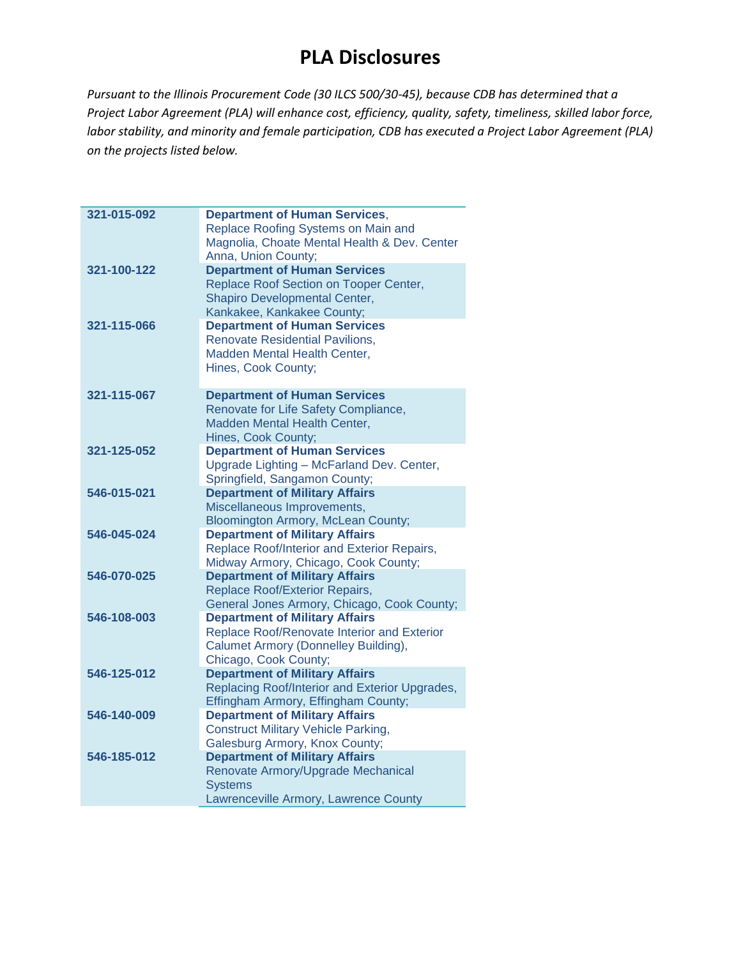| 321-015-092 | <b>Department of Human Services,</b><br>Replace Roofing Systems on Main and        |
|-------------|------------------------------------------------------------------------------------|
|             | Magnolia, Choate Mental Health & Dev. Center<br>Anna, Union County;                |
| 321-100-122 | <b>Department of Human Services</b>                                                |
|             | Replace Roof Section on Tooper Center,                                             |
|             | Shapiro Developmental Center,                                                      |
|             | Kankakee, Kankakee County;                                                         |
| 321-115-066 | <b>Department of Human Services</b>                                                |
|             | <b>Renovate Residential Pavilions,</b>                                             |
|             | Madden Mental Health Center,<br>Hines, Cook County;                                |
|             |                                                                                    |
| 321-115-067 | <b>Department of Human Services</b>                                                |
|             | Renovate for Life Safety Compliance,                                               |
|             | Madden Mental Health Center,                                                       |
|             | Hines, Cook County;                                                                |
| 321-125-052 | <b>Department of Human Services</b>                                                |
|             | Upgrade Lighting - McFarland Dev. Center,                                          |
|             | Springfield, Sangamon County;                                                      |
| 546-015-021 | <b>Department of Military Affairs</b>                                              |
|             | Miscellaneous Improvements,                                                        |
| 546-045-024 | <b>Bloomington Armory, McLean County;</b><br><b>Department of Military Affairs</b> |
|             | Replace Roof/Interior and Exterior Repairs,                                        |
|             | Midway Armory, Chicago, Cook County;                                               |
| 546-070-025 | <b>Department of Military Affairs</b>                                              |
|             | Replace Roof/Exterior Repairs,                                                     |
|             | General Jones Armory, Chicago, Cook County;                                        |
| 546-108-003 | <b>Department of Military Affairs</b>                                              |
|             | Replace Roof/Renovate Interior and Exterior                                        |
|             | Calumet Armory (Donnelley Building),                                               |
|             | Chicago, Cook County;                                                              |
| 546-125-012 | <b>Department of Military Affairs</b>                                              |
|             | Replacing Roof/Interior and Exterior Upgrades,                                     |
|             | Effingham Armory, Effingham County;                                                |
| 546-140-009 | <b>Department of Military Affairs</b>                                              |
|             | <b>Construct Military Vehicle Parking,</b><br>Galesburg Armory, Knox County;       |
| 546-185-012 | <b>Department of Military Affairs</b>                                              |
|             | Renovate Armory/Upgrade Mechanical                                                 |
|             | <b>Systems</b>                                                                     |
|             | Lawrenceville Armory, Lawrence County                                              |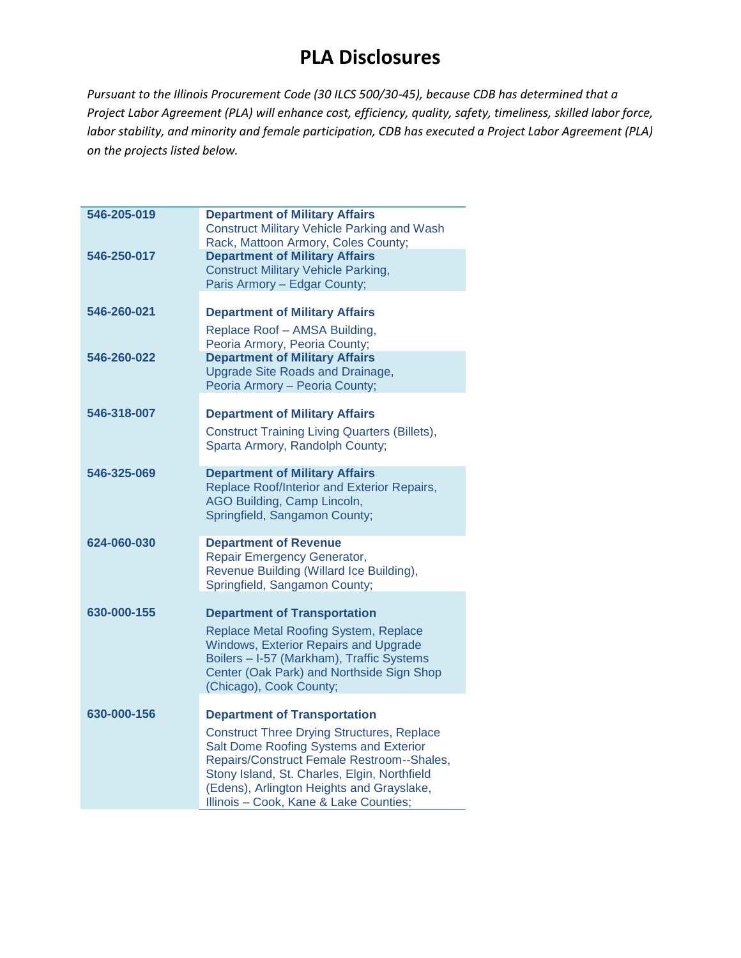| 546-205-019 | <b>Department of Military Affairs</b><br><b>Construct Military Vehicle Parking and Wash</b> |
|-------------|---------------------------------------------------------------------------------------------|
|             | Rack, Mattoon Armory, Coles County;                                                         |
| 546-250-017 | <b>Department of Military Affairs</b>                                                       |
|             | <b>Construct Military Vehicle Parking,</b>                                                  |
|             | Paris Armory - Edgar County;                                                                |
| 546-260-021 | <b>Department of Military Affairs</b>                                                       |
|             | Replace Roof - AMSA Building,                                                               |
|             | Peoria Armory, Peoria County;                                                               |
| 546-260-022 | <b>Department of Military Affairs</b>                                                       |
|             | Upgrade Site Roads and Drainage,                                                            |
|             | Peoria Armory - Peoria County;                                                              |
| 546-318-007 | <b>Department of Military Affairs</b>                                                       |
|             | <b>Construct Training Living Quarters (Billets),</b>                                        |
|             | Sparta Armory, Randolph County;                                                             |
| 546-325-069 | <b>Department of Military Affairs</b>                                                       |
|             | Replace Roof/Interior and Exterior Repairs,                                                 |
|             | AGO Building, Camp Lincoln,                                                                 |
|             | Springfield, Sangamon County;                                                               |
| 624-060-030 | <b>Department of Revenue</b>                                                                |
|             | Repair Emergency Generator,                                                                 |
|             | Revenue Building (Willard Ice Building),                                                    |
|             | Springfield, Sangamon County;                                                               |
| 630-000-155 | <b>Department of Transportation</b>                                                         |
|             | Replace Metal Roofing System, Replace                                                       |
|             | <b>Windows, Exterior Repairs and Upgrade</b>                                                |
|             | Boilers - I-57 (Markham), Traffic Systems                                                   |
|             | Center (Oak Park) and Northside Sign Shop<br>(Chicago), Cook County;                        |
|             |                                                                                             |
| 630-000-156 | <b>Department of Transportation</b>                                                         |
|             | <b>Construct Three Drying Structures, Replace</b>                                           |
|             | Salt Dome Roofing Systems and Exterior                                                      |
|             | Repairs/Construct Female Restroom--Shales,<br>Stony Island, St. Charles, Elgin, Northfield  |
|             | (Edens), Arlington Heights and Grayslake,                                                   |
|             | Illinois - Cook, Kane & Lake Counties;                                                      |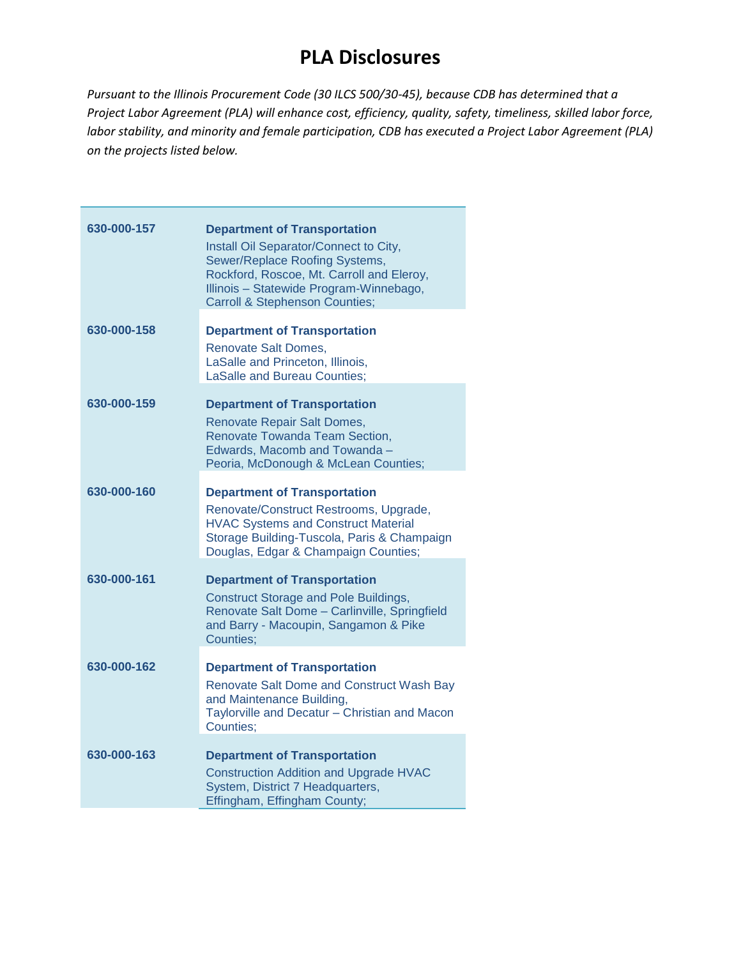| 630-000-157 | <b>Department of Transportation</b><br>Install Oil Separator/Connect to City,<br>Sewer/Replace Roofing Systems,<br>Rockford, Roscoe, Mt. Carroll and Eleroy,<br>Illinois - Statewide Program-Winnebago,<br><b>Carroll &amp; Stephenson Counties;</b> |
|-------------|------------------------------------------------------------------------------------------------------------------------------------------------------------------------------------------------------------------------------------------------------|
| 630-000-158 | <b>Department of Transportation</b><br><b>Renovate Salt Domes,</b><br>LaSalle and Princeton, Illinois,<br><b>LaSalle and Bureau Counties;</b>                                                                                                        |
| 630-000-159 | <b>Department of Transportation</b><br>Renovate Repair Salt Domes,<br>Renovate Towanda Team Section,<br>Edwards, Macomb and Towanda -<br>Peoria, McDonough & McLean Counties;                                                                        |
| 630-000-160 | <b>Department of Transportation</b><br>Renovate/Construct Restrooms, Upgrade,<br><b>HVAC Systems and Construct Material</b><br>Storage Building-Tuscola, Paris & Champaign<br>Douglas, Edgar & Champaign Counties;                                   |
| 630-000-161 | <b>Department of Transportation</b><br><b>Construct Storage and Pole Buildings,</b><br>Renovate Salt Dome - Carlinville, Springfield<br>and Barry - Macoupin, Sangamon & Pike<br>Counties:                                                           |
| 630-000-162 | <b>Department of Transportation</b><br><b>Renovate Salt Dome and Construct Wash Bay</b><br>and Maintenance Building,<br>Taylorville and Decatur - Christian and Macon<br>Counties;                                                                   |
| 630-000-163 | <b>Department of Transportation</b><br><b>Construction Addition and Upgrade HVAC</b><br>System, District 7 Headquarters,<br>Effingham, Effingham County;                                                                                             |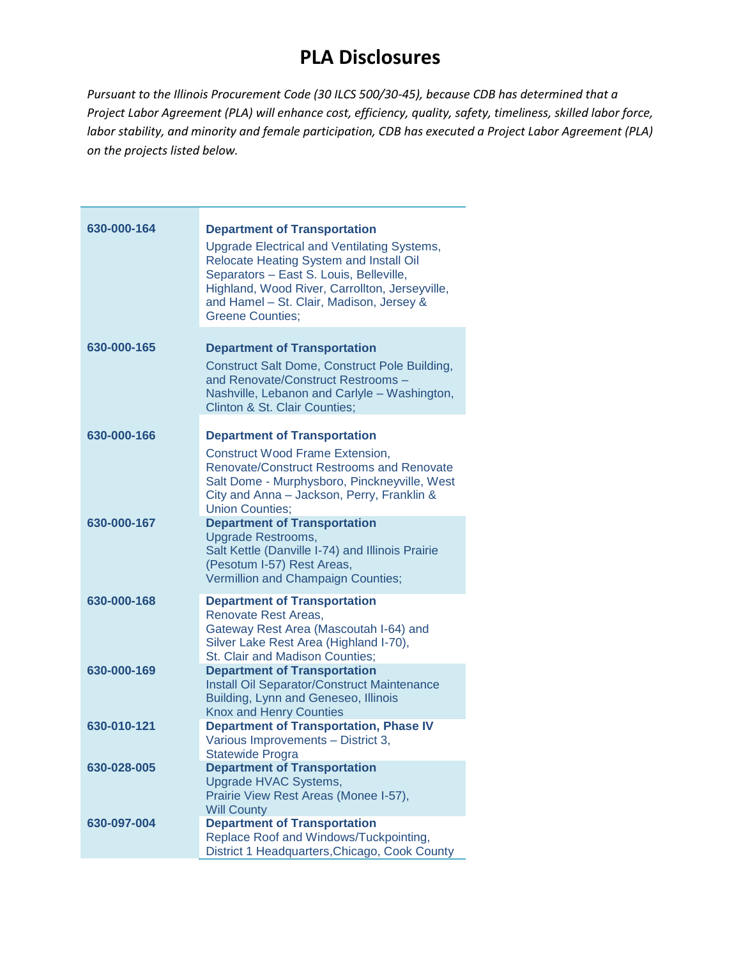| 630-000-164 | <b>Department of Transportation</b><br><b>Upgrade Electrical and Ventilating Systems,</b><br>Relocate Heating System and Install Oil<br>Separators - East S. Louis, Belleville,<br>Highland, Wood River, Carrollton, Jerseyville,<br>and Hamel - St. Clair, Madison, Jersey &<br><b>Greene Counties:</b> |
|-------------|----------------------------------------------------------------------------------------------------------------------------------------------------------------------------------------------------------------------------------------------------------------------------------------------------------|
| 630-000-165 | <b>Department of Transportation</b><br>Construct Salt Dome, Construct Pole Building,<br>and Renovate/Construct Restrooms -<br>Nashville, Lebanon and Carlyle - Washington,<br>Clinton & St. Clair Counties;                                                                                              |
| 630-000-166 | <b>Department of Transportation</b><br><b>Construct Wood Frame Extension,</b><br><b>Renovate/Construct Restrooms and Renovate</b><br>Salt Dome - Murphysboro, Pinckneyville, West<br>City and Anna - Jackson, Perry, Franklin &<br><b>Union Counties;</b>                                                |
| 630-000-167 | <b>Department of Transportation</b><br><b>Upgrade Restrooms,</b><br>Salt Kettle (Danville I-74) and Illinois Prairie<br>(Pesotum I-57) Rest Areas,<br>Vermillion and Champaign Counties;                                                                                                                 |
| 630-000-168 | <b>Department of Transportation</b><br>Renovate Rest Areas,<br>Gateway Rest Area (Mascoutah I-64) and<br>Silver Lake Rest Area (Highland I-70),<br>St. Clair and Madison Counties;                                                                                                                       |
| 630-000-169 | <b>Department of Transportation</b><br>Install Oil Separator/Construct Maintenance<br>Building, Lynn and Geneseo, Illinois<br><b>Knox and Henry Counties</b>                                                                                                                                             |
| 630-010-121 | <b>Department of Transportation, Phase IV</b><br>Various Improvements - District 3,<br>Statewide Progra                                                                                                                                                                                                  |
| 630-028-005 | <b>Department of Transportation</b><br>Upgrade HVAC Systems,<br>Prairie View Rest Areas (Monee I-57),<br><b>Will County</b>                                                                                                                                                                              |
| 630-097-004 | <b>Department of Transportation</b><br>Replace Roof and Windows/Tuckpointing,<br>District 1 Headquarters, Chicago, Cook County                                                                                                                                                                           |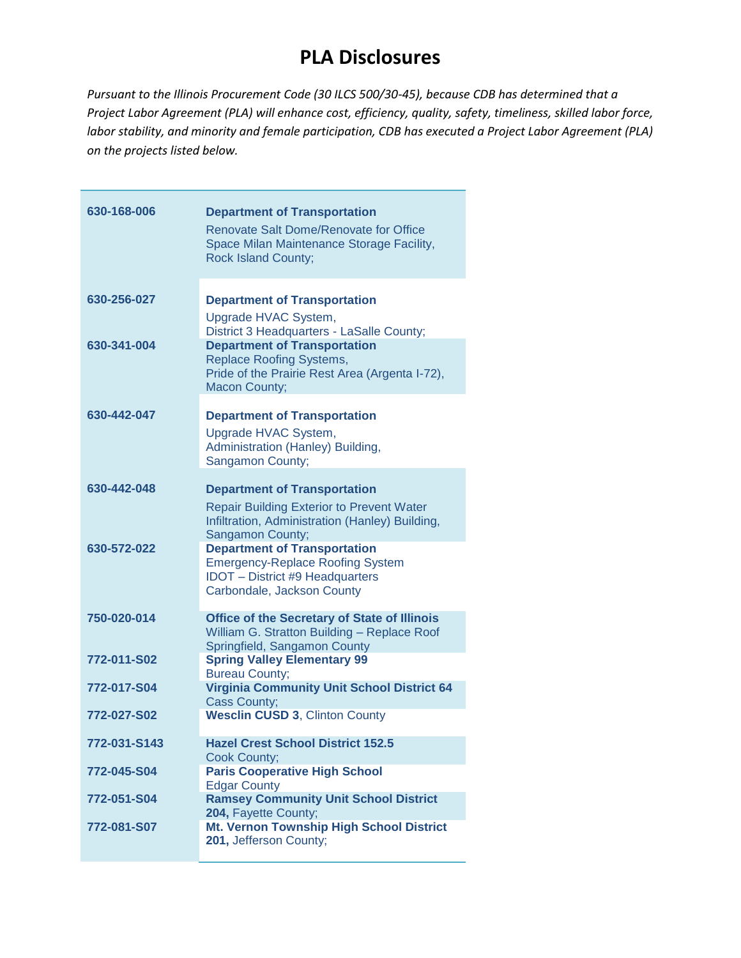| 630-168-006  | <b>Department of Transportation</b><br><b>Renovate Salt Dome/Renovate for Office</b><br>Space Milan Maintenance Storage Facility,<br><b>Rock Island County;</b> |
|--------------|-----------------------------------------------------------------------------------------------------------------------------------------------------------------|
| 630-256-027  | <b>Department of Transportation</b><br>Upgrade HVAC System,<br>District 3 Headquarters - LaSalle County;                                                        |
| 630-341-004  | <b>Department of Transportation</b><br><b>Replace Roofing Systems,</b><br>Pride of the Prairie Rest Area (Argenta I-72),<br><b>Macon County;</b>                |
| 630-442-047  | <b>Department of Transportation</b><br>Upgrade HVAC System,<br>Administration (Hanley) Building,<br>Sangamon County;                                            |
| 630-442-048  | <b>Department of Transportation</b><br><b>Repair Building Exterior to Prevent Water</b><br>Infiltration, Administration (Hanley) Building,<br>Sangamon County;  |
| 630-572-022  | <b>Department of Transportation</b><br><b>Emergency-Replace Roofing System</b><br><b>IDOT</b> - District #9 Headquarters<br>Carbondale, Jackson County          |
| 750-020-014  | <b>Office of the Secretary of State of Illinois</b><br>William G. Stratton Building - Replace Roof<br>Springfield, Sangamon County                              |
| 772-011-S02  | <b>Spring Valley Elementary 99</b><br><b>Bureau County;</b>                                                                                                     |
| 772-017-S04  | <b>Virginia Community Unit School District 64</b><br>Cass County;                                                                                               |
| 772-027-S02  | <b>Wesclin CUSD 3, Clinton County</b>                                                                                                                           |
| 772-031-S143 | <b>Hazel Crest School District 152.5</b><br><b>Cook County;</b>                                                                                                 |
| 772-045-S04  | <b>Paris Cooperative High School</b><br><b>Edgar County</b>                                                                                                     |
| 772-051-S04  | <b>Ramsey Community Unit School District</b><br>204, Fayette County;                                                                                            |
| 772-081-S07  | Mt. Vernon Township High School District<br>201, Jefferson County;                                                                                              |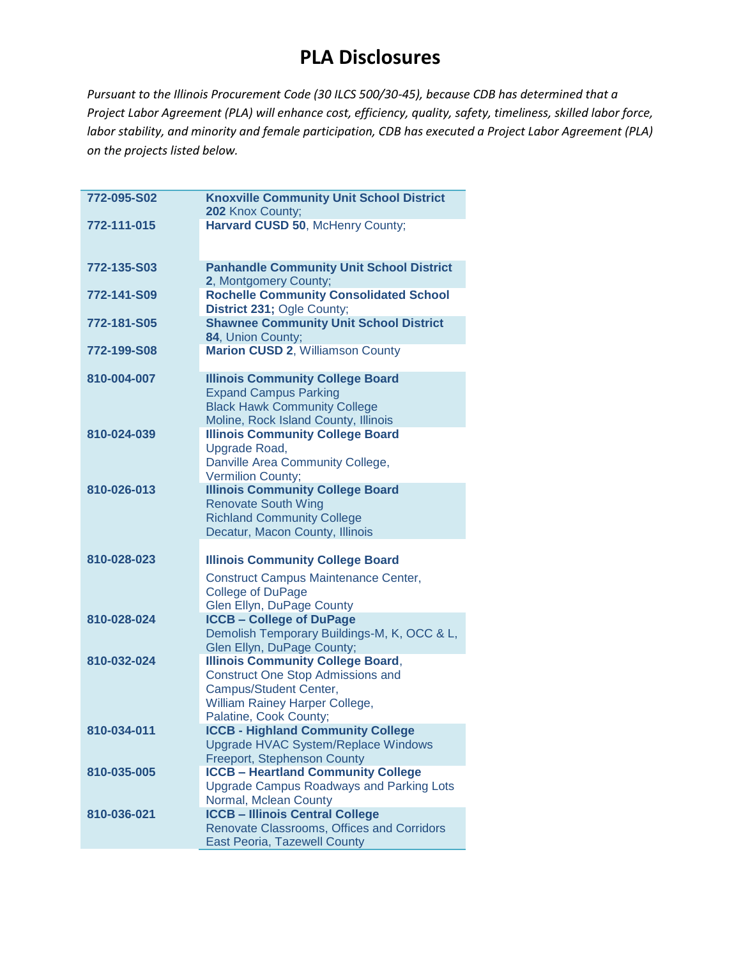| 772-095-S02 | <b>Knoxville Community Unit School District</b>                                                                                                                            |
|-------------|----------------------------------------------------------------------------------------------------------------------------------------------------------------------------|
|             | 202 Knox County;                                                                                                                                                           |
| 772-111-015 | Harvard CUSD 50, McHenry County;                                                                                                                                           |
| 772-135-S03 | <b>Panhandle Community Unit School District</b><br>2, Montgomery County;                                                                                                   |
| 772-141-S09 | <b>Rochelle Community Consolidated School</b><br>District 231; Ogle County;                                                                                                |
| 772-181-S05 | <b>Shawnee Community Unit School District</b><br>84, Union County;                                                                                                         |
| 772-199-S08 | <b>Marion CUSD 2, Williamson County</b>                                                                                                                                    |
| 810-004-007 | <b>Illinois Community College Board</b><br><b>Expand Campus Parking</b><br><b>Black Hawk Community College</b><br>Moline, Rock Island County, Illinois                     |
| 810-024-039 | <b>Illinois Community College Board</b><br>Upgrade Road,<br>Danville Area Community College,<br>Vermilion County;                                                          |
| 810-026-013 | <b>Illinois Community College Board</b><br><b>Renovate South Wing</b><br><b>Richland Community College</b><br>Decatur, Macon County, Illinois                              |
| 810-028-023 | <b>Illinois Community College Board</b><br>Construct Campus Maintenance Center,<br><b>College of DuPage</b><br>Glen Ellyn, DuPage County                                   |
| 810-028-024 | <b>ICCB - College of DuPage</b><br>Demolish Temporary Buildings-M, K, OCC & L,<br>Glen Ellyn, DuPage County;                                                               |
| 810-032-024 | <b>Illinois Community College Board,</b><br><b>Construct One Stop Admissions and</b><br>Campus/Student Center,<br>William Rainey Harper College,<br>Palatine, Cook County; |
| 810-034-011 | <b>ICCB - Highland Community College</b><br><b>Upgrade HVAC System/Replace Windows</b><br><b>Freeport, Stephenson County</b>                                               |
| 810-035-005 | <b>ICCB - Heartland Community College</b><br><b>Upgrade Campus Roadways and Parking Lots</b><br>Normal, Mclean County                                                      |
| 810-036-021 | <b>ICCB - Illinois Central College</b><br>Renovate Classrooms, Offices and Corridors<br><b>East Peoria, Tazewell County</b>                                                |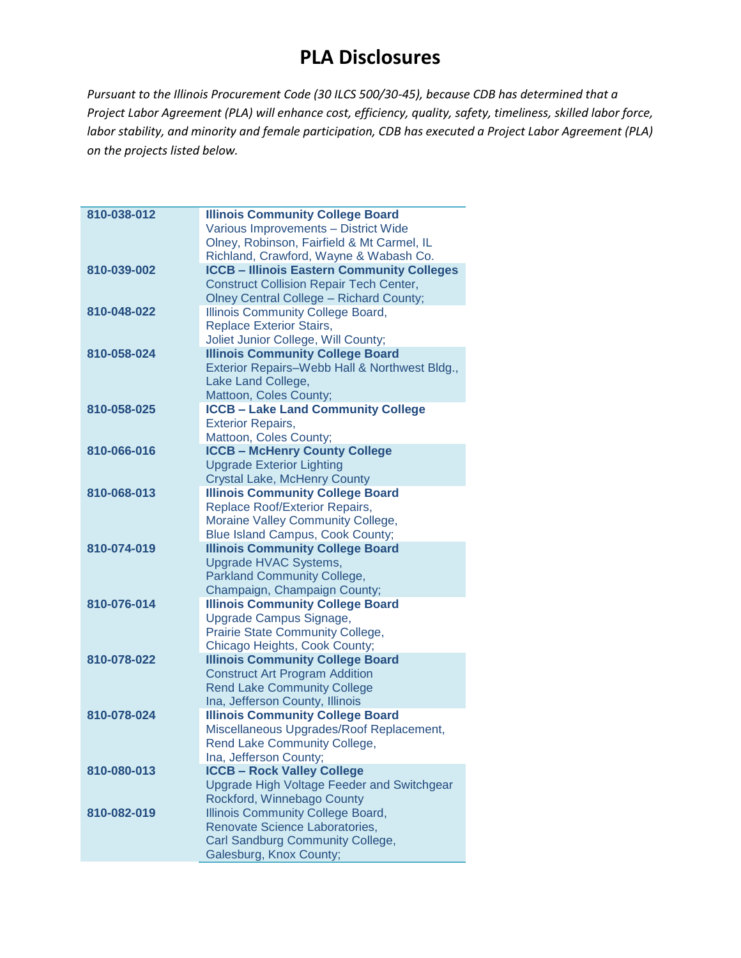| 810-038-012 | <b>Illinois Community College Board</b>                                    |
|-------------|----------------------------------------------------------------------------|
|             | Various Improvements - District Wide                                       |
|             | Olney, Robinson, Fairfield & Mt Carmel, IL                                 |
|             | Richland, Crawford, Wayne & Wabash Co.                                     |
| 810-039-002 | <b>ICCB - Illinois Eastern Community Colleges</b>                          |
|             | <b>Construct Collision Repair Tech Center,</b>                             |
|             | <b>Olney Central College - Richard County;</b>                             |
| 810-048-022 | Illinois Community College Board,                                          |
|             | <b>Replace Exterior Stairs,</b>                                            |
|             | Joliet Junior College, Will County;                                        |
| 810-058-024 | <b>Illinois Community College Board</b>                                    |
|             | Exterior Repairs-Webb Hall & Northwest Bldg.,                              |
|             | Lake Land College,                                                         |
|             | Mattoon, Coles County;                                                     |
| 810-058-025 | <b>ICCB - Lake Land Community College</b>                                  |
|             | <b>Exterior Repairs,</b>                                                   |
|             | Mattoon, Coles County;                                                     |
| 810-066-016 | <b>ICCB - McHenry County College</b>                                       |
|             | <b>Upgrade Exterior Lighting</b>                                           |
|             | <b>Crystal Lake, McHenry County</b>                                        |
| 810-068-013 | <b>Illinois Community College Board</b>                                    |
|             | Replace Roof/Exterior Repairs,                                             |
|             | Moraine Valley Community College,                                          |
|             | Blue Island Campus, Cook County;                                           |
| 810-074-019 | <b>Illinois Community College Board</b>                                    |
|             | Upgrade HVAC Systems,                                                      |
|             | <b>Parkland Community College,</b>                                         |
|             | Champaign, Champaign County;                                               |
| 810-076-014 | <b>Illinois Community College Board</b>                                    |
|             | Upgrade Campus Signage,                                                    |
|             | Prairie State Community College,                                           |
|             | Chicago Heights, Cook County;                                              |
| 810-078-022 | <b>Illinois Community College Board</b>                                    |
|             | <b>Construct Art Program Addition</b>                                      |
|             | <b>Rend Lake Community College</b>                                         |
| 810-078-024 | Ina, Jefferson County, Illinois<br><b>Illinois Community College Board</b> |
|             | Miscellaneous Upgrades/Roof Replacement,                                   |
|             | Rend Lake Community College,                                               |
|             | Ina, Jefferson County;                                                     |
| 810-080-013 | <b>ICCB - Rock Valley College</b>                                          |
|             | Upgrade High Voltage Feeder and Switchgear                                 |
|             | Rockford, Winnebago County                                                 |
| 810-082-019 | <b>Illinois Community College Board,</b>                                   |
|             | Renovate Science Laboratories,                                             |
|             | Carl Sandburg Community College,                                           |
|             | Galesburg, Knox County;                                                    |
|             |                                                                            |